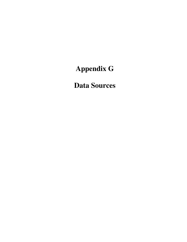**Appendix G**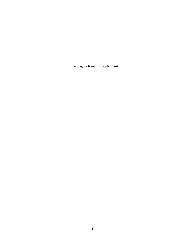This page left intentionally blank.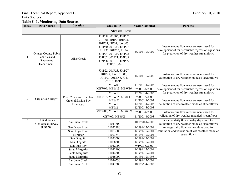#### Data Sources

### **Table G-1. Monitoring Data Sources**

| <b>Index</b>   | <b>Data Source</b>                                                            | Location                | <b>Station ID</b>                                                                                                                                                                                                                  | <b>Years Compiled</b> | <b>Purpose</b>                                                                                                                              |
|----------------|-------------------------------------------------------------------------------|-------------------------|------------------------------------------------------------------------------------------------------------------------------------------------------------------------------------------------------------------------------------|-----------------------|---------------------------------------------------------------------------------------------------------------------------------------------|
|                |                                                                               |                         | <b>Stream Flow</b>                                                                                                                                                                                                                 |                       |                                                                                                                                             |
| 1              | Orange County Pubic<br>Facilities and<br>Resources<br>Department <sup>1</sup> | Aliso Creek             | J01P08, J01P06, J07P02,<br>J07P01, J01P0, J01P05,<br>J01P03, J1P04, J06, J05,<br>J01P30, J01P28, J01P27,<br>J01P33, J01P25, J0126,<br>J01P24, J01P23, J01P22,<br>J03P02, J01P21, J02P05,<br>J02P08, J03P13, J03P05,<br>J03P01, J04 | 4/2001-12/2002        | Instantaneous flow measurements used for<br>development of multi-variable regression equations<br>for prediction of dry-weather streamflows |
|                |                                                                               |                         | J01P22, J01P23, J01P27,<br>J01P28, J06, J01P05,<br>J01P01, J01BN8, J04,<br>J03P13, J03P01                                                                                                                                          | 4/2001-12/2002        | Instantaneous flow measurements used for<br>calibration of dry-weather modeled streamflows                                                  |
|                | City of San Diego <sup>1</sup>                                                |                         | MBW07                                                                                                                                                                                                                              | 11/2001-4/2003        | Instantaneous flow measurements used for                                                                                                    |
|                |                                                                               |                         | MBW09, MBW13, MBW16                                                                                                                                                                                                                | 7/2001-4/2003         | development of multi-variable regression equations                                                                                          |
|                |                                                                               |                         | MBW11                                                                                                                                                                                                                              | 12/2001-4/2003        | for prediction of dry-weather streamflows                                                                                                   |
|                |                                                                               | Rose Creek and Tecolote | MBW13, MBW15, MBW17                                                                                                                                                                                                                | 7/2001-4/2003         |                                                                                                                                             |
| 2              |                                                                               | Creek (Mission Bay      | MBW20                                                                                                                                                                                                                              | 11/2001-4/2003        | Instantaneous flow measurements used for                                                                                                    |
|                |                                                                               | Drainage)               | MBW11                                                                                                                                                                                                                              | 12/2001-4/2003        | calibration of dry-weather modeled streamflows                                                                                              |
|                |                                                                               |                         | MBW24                                                                                                                                                                                                                              | 12/2001-3/2003        |                                                                                                                                             |
|                |                                                                               |                         | MBW06, MBW10, MBW09                                                                                                                                                                                                                | 7/2001-4/2003         | Instantaneous flow measurements used for                                                                                                    |
|                |                                                                               |                         | MBW07, MBW08                                                                                                                                                                                                                       | 11/2001-4/2003        | validation of dry-weather modeled streamflows                                                                                               |
| $\overline{3}$ | <b>United States</b><br>Geological Survey                                     | San Juan Creek          | 11047300                                                                                                                                                                                                                           | 10/1970-1/2002        | Average daily flows on dry days used for<br>calibration of dry-weather modeled streamflows                                                  |
|                | $(USGS)^2$                                                                    | San Diego River         | 11022480                                                                                                                                                                                                                           | 1/1991-12/2001        | Average daily flows on wet days used for                                                                                                    |
|                |                                                                               | San Diego River         | 11023000                                                                                                                                                                                                                           | 1/1991-12/2001        | calibration and validation of wet-weather modeled                                                                                           |
|                |                                                                               | Miramar                 | 11023340                                                                                                                                                                                                                           | 1/1991-12/2001        | streamflows                                                                                                                                 |
|                |                                                                               | San Dieguito            | 11025500                                                                                                                                                                                                                           | 1/1991-12/2001        |                                                                                                                                             |
|                |                                                                               | San Dieguito            | 11028500                                                                                                                                                                                                                           | 1/1991-12/2001        |                                                                                                                                             |
|                |                                                                               | San Luis Rev            | 11042000                                                                                                                                                                                                                           | 9/1993-5/2002         |                                                                                                                                             |
|                |                                                                               | Santa Margarita         | 11042400                                                                                                                                                                                                                           | 1/1991-12/2001        |                                                                                                                                             |
|                |                                                                               | Santa Margarita         | 11044300                                                                                                                                                                                                                           | 1/1991-12/2001        |                                                                                                                                             |
|                |                                                                               | Santa Margarita         | 11046000                                                                                                                                                                                                                           | 1/1991-12/1998        |                                                                                                                                             |
|                |                                                                               | San Juan Creek          | 11046530                                                                                                                                                                                                                           | 1/1991-12/2001        |                                                                                                                                             |
|                |                                                                               | San Juan Creek          | 11047300                                                                                                                                                                                                                           | 10/1995-4/2002        |                                                                                                                                             |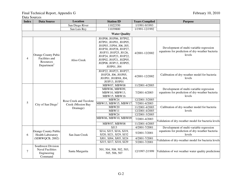# February 10, 2010

| Data Sources |
|--------------|
|              |

| <b>Index</b>   | <b>Data Source</b>                                                                   | Location                | <b>Station ID</b>                                                                                                                                                                                                                   | <b>Years Compiled</b> | <b>Purpose</b>                                                                                         |
|----------------|--------------------------------------------------------------------------------------|-------------------------|-------------------------------------------------------------------------------------------------------------------------------------------------------------------------------------------------------------------------------------|-----------------------|--------------------------------------------------------------------------------------------------------|
|                |                                                                                      | San Diego River         | 11022350                                                                                                                                                                                                                            | 1/1991-9/1993         |                                                                                                        |
|                |                                                                                      | San Luis Rey            | 11039800                                                                                                                                                                                                                            | 1/1991-12/1992        |                                                                                                        |
|                |                                                                                      |                         | <b>Water Quality</b>                                                                                                                                                                                                                |                       |                                                                                                        |
| $\overline{4}$ | <b>Orange County Pubic</b><br>Facilities and<br>Resources<br>Department <sup>1</sup> | Aliso Creek             | J01P08, J01P06, J07P02,<br>J07P01, J01P01, J01P05,<br>J01P03, J1P04, J06, J05,<br>J01P30, J01P28, J01P27,<br>J01P33, J01P25, J0126,<br>J01P24, J01P23, J01P22,<br>J03P02, J01P21, J02P05,<br>J02P08, J03P13, J03P05,<br>J03P01, J04 | 4/2001-12/2002        | Development of multi-variable regression<br>equations for prediction of dry-weather bacteria<br>levels |
|                |                                                                                      |                         | J01P22, J01P23, J01P27,<br>J01P28, J06, J01P05,<br>J01P01, J01BN8, J04,<br>J03P13, J03P01                                                                                                                                           | 4/2001-12/2002        | Calibration of dry-weather model for bacteria<br>levels                                                |
|                |                                                                                      | Rose Creek and Tecolote | MBW07, MBW08                                                                                                                                                                                                                        | 11/2001-4/2003        |                                                                                                        |
|                |                                                                                      |                         | MBW06, MBW09,<br>MBW10, MBW13,<br>MBW15, MBW16                                                                                                                                                                                      | 7/2001-4/2003         | Development of multi-variable regression<br>equations for prediction of dry-weather bacteria<br>levels |
|                |                                                                                      |                         | MBW24                                                                                                                                                                                                                               | 12/2001-3/2003        |                                                                                                        |
| 5              | City of San Diego <sup>1</sup>                                                       | Creek (Mission Bay      | MBW13, MBW15, MBW17                                                                                                                                                                                                                 | 7/2001-4/2003         |                                                                                                        |
|                |                                                                                      | Drainage)               | <b>MBW20</b>                                                                                                                                                                                                                        | 11/2001-4/2003        | Calibration of dry-weather model for bacteria<br>levels                                                |
|                |                                                                                      |                         | MBW11                                                                                                                                                                                                                               | 12/2001-4/2003        |                                                                                                        |
|                |                                                                                      |                         | MBW24                                                                                                                                                                                                                               | 12/2001-3/2003        |                                                                                                        |
|                |                                                                                      |                         | MBW06, MBW10, MBW09                                                                                                                                                                                                                 | 7/2001-4/2003         | Validation of dry-weather model for bacteria levels                                                    |
|                |                                                                                      |                         | MBW07, MBW08                                                                                                                                                                                                                        | 11/2001-4/2003        |                                                                                                        |
|                |                                                                                      |                         | SJ13                                                                                                                                                                                                                                | 4/2001-7/2001         | Development of multi-variable regression                                                               |
| 6              | <b>Orange County Public</b><br><b>Health Laboratory</b>                              | San Juan Creek          | SJ14, SJ15, SJ16, SJ19,<br>SJ20, SJ21, SJ29, SJ32                                                                                                                                                                                   | 5/2001-7/2001         | equations for prediction of dry-weather bacteria<br>levels                                             |
|                | (SDRWQCB, 2002)                                                                      |                         | SJ01, SJ04, SJ05, SJ24                                                                                                                                                                                                              | 4/2001-7/2001         |                                                                                                        |
|                |                                                                                      |                         | SJ15, SJ17, SJ18, SJ29                                                                                                                                                                                                              | 5/2001-7/2001         | Validation of dry-weather model for bacteria levels                                                    |
| $\tau$         | <b>Southwest Division</b><br><b>Naval Facilities</b><br>Engineering<br>Command       | Santa Margarita         | 501, 504, 508, 502, 503,<br>505, 506, 507                                                                                                                                                                                           | 12/1997-2/1999        | Validation of wet weather water quality predictions                                                    |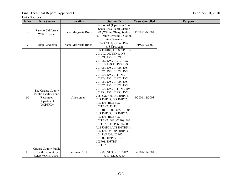| <b>Index</b> | <b>Data Source</b>                                                                | Location              | <b>Station ID</b>                                                                                                                                                                                                                                                                                                                                                                                                                                                                                                                                                                                                                                                                                                                                     | <b>Years Compiled</b> | <b>Purpose</b> |
|--------------|-----------------------------------------------------------------------------------|-----------------------|-------------------------------------------------------------------------------------------------------------------------------------------------------------------------------------------------------------------------------------------------------------------------------------------------------------------------------------------------------------------------------------------------------------------------------------------------------------------------------------------------------------------------------------------------------------------------------------------------------------------------------------------------------------------------------------------------------------------------------------------------------|-----------------------|----------------|
| $\,8\,$      | Rancho California<br>Water District                                               | Santa Margarita River | Station #1 (Upstream from<br>Santa Rosa Plant), Station<br>#2 (Willow Glen), Station<br>#3 (Deluz Crossing), Station<br>#4 (Estuary)                                                                                                                                                                                                                                                                                                                                                                                                                                                                                                                                                                                                                  | 12/1997-2/2001        |                |
| 9            | Camp Pendleton                                                                    | Santa Margarita River | Plant #3 Upstream; Plant<br>#13 Upstream                                                                                                                                                                                                                                                                                                                                                                                                                                                                                                                                                                                                                                                                                                              | 1/1995-3/2002         |                |
| 10           | The Orange County<br>Public Facilities and<br>Resources<br>Department<br>(OCPFRD) | Aliso creek           | D/S J01/J02, J01 @ TP, $\overline{U/S}$<br>J01/J02, J02TBN1, D/S<br>J01P21, U/S J01P21,<br>J01P22, D/S J01/J03, U/S<br>J01/J03, D/S J01P23, D/S<br>J01P24, D/S J01P25, D/S<br>J01P26, D/S J01P27, D/S<br>J01P33, D/S J01TBN4,<br>J01P28, U/S J01P23, U/S<br>J01P24, U/S J01P25, U/S<br>J01P26, U/S J01P27, U/S<br>J01P33, U/S J01TBN4, D/S<br>J01P30, U/S J01P30, D/S<br>J06, U/S J06, D/S J01P04,<br>D/S J01P05, D/S J01P32,<br>D/S J01TBN2, D/S<br>J01TBN3, J01P01,<br>J07P01J07P02, U/S J01P04,<br>U/S J01P05, U/S J01P32,<br>U/S J01TBN2, U/S<br>J01TBN3, D/S J01P08, D/S<br>J01TBN8, J01P06, J02P08,<br>U/S J01P08, U/S J01TBN8,<br>D/S J05, U/S J05, J01P03,<br>J04, U/S J04, J02P05,<br>J03P02, J03P05, J03P13,<br>J03P01, J03TBN1,<br>J03TBN2 | 4/2001-11/2003        |                |
| 11           | <b>Orange County Public</b><br><b>Health Laboratory</b><br>(SDRWQCB, 2002)        | San Juan Creek        | SJ02, SJ09, SJ10, SJ12,<br>SJ13, SJ25, SJ30                                                                                                                                                                                                                                                                                                                                                                                                                                                                                                                                                                                                                                                                                                           | 5/2001-12/2001        |                |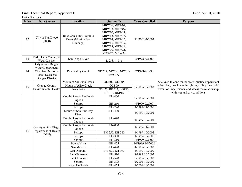| <b>Index</b> | <b>Data Source</b>                                                                                                       | <b>Location</b>                                               | <b>Station ID</b>                                                                                                                                    | <b>Years Compiled</b>           | <b>Purpose</b>                                                                                                                                                                                |
|--------------|--------------------------------------------------------------------------------------------------------------------------|---------------------------------------------------------------|------------------------------------------------------------------------------------------------------------------------------------------------------|---------------------------------|-----------------------------------------------------------------------------------------------------------------------------------------------------------------------------------------------|
| 12           | City of San Diego<br>(2000)                                                                                              | Rose Creek and Tecolote<br>Creek (Mission Bay<br>Drainage)    | MBW06, MBW07,<br>MBW08, MBW09,<br>MBW10, MBW11,<br>MBW12, MBW13,<br>MBW14, MBW15,<br>MBW16, MBW17,<br>MBW18, MBW19,<br>MBW20, MBW21,<br>MBW23, MBW24 | 11/2001-2/2002                  |                                                                                                                                                                                               |
| 13           | Padre Dam Municipal<br>Water District                                                                                    | San Diego River                                               | 1, 2, 3, 4, 5, 6                                                                                                                                     | 3/1998-4/2002                   |                                                                                                                                                                                               |
| 14           | City of San Diego-<br>Water Department,<br><b>Cleveland National</b><br><b>Forest Descanso</b><br><b>Ranger District</b> | Pine Valley Creek                                             | NPC3A, NPC3C, NPC3D,<br>PVC1A                                                                                                                        | 2/1998-4/1998                   |                                                                                                                                                                                               |
| 15           | <b>Orange County</b><br><b>Environmental Health</b>                                                                      | Mouth of San Juan Creek<br>Mouth of Aliso Creek<br>Dana Point | ODB02, ODB05<br>OLB00<br>OSL25, BDP12, BDP13,<br>BDP14, BDP15                                                                                        | 6/1999-10/2002                  | Analyzed to confirm the water quality impairment<br>at beaches, provide an insight regarding the spatial<br>extent of impairments, and assess the relationship<br>with wet and dry conditions |
|              | County of San Diego,                                                                                                     | Mouth of Agua Hedionda<br>Lagoon<br>Scripps                   | EH-460<br>EH-260                                                                                                                                     | 5/1999-10/2001<br>4/1999-9/2000 |                                                                                                                                                                                               |
|              |                                                                                                                          | Scripps                                                       | <b>EH-290</b>                                                                                                                                        | 4/1999-11/2000                  |                                                                                                                                                                                               |
|              |                                                                                                                          | Mouth of San Luis Rey<br>River                                | EH-490                                                                                                                                               | 4/1999-10/2001                  |                                                                                                                                                                                               |
|              |                                                                                                                          | Mouth of Agua Hedionda<br>Lagoon                              | EH-440                                                                                                                                               | 4/1999-10/2001                  |                                                                                                                                                                                               |
|              |                                                                                                                          | Mouth of Agua Hedionda<br>Lagoon                              | EN-030                                                                                                                                               | 1/1999-11/2001                  |                                                                                                                                                                                               |
| 16           | Department of Health                                                                                                     | Scripps                                                       | EH-250, EH-280                                                                                                                                       | 4/1999-10/2002                  |                                                                                                                                                                                               |
|              | (DEH)                                                                                                                    | Scripps                                                       | EH-300                                                                                                                                               | 1/1999-10/2002                  |                                                                                                                                                                                               |
|              |                                                                                                                          | Scripps                                                       | EH-310                                                                                                                                               | 4/1999-9/2002                   |                                                                                                                                                                                               |
|              |                                                                                                                          | <b>Buena Vista</b>                                            | EH-475                                                                                                                                               | 10/1999-10/2002                 |                                                                                                                                                                                               |
|              |                                                                                                                          | San Marcos                                                    | EH-420                                                                                                                                               | 4/1999-10/2002                  |                                                                                                                                                                                               |
|              |                                                                                                                          | San Dieguito                                                  | EH-380, EH-390                                                                                                                                       | 4/1999-10/2002                  |                                                                                                                                                                                               |
|              |                                                                                                                          | San Clemente                                                  | EH-510                                                                                                                                               | 8/1999-10-2002                  |                                                                                                                                                                                               |
|              |                                                                                                                          | San Clemente                                                  | EH-520                                                                                                                                               | 6/1999-10/2002                  |                                                                                                                                                                                               |
|              |                                                                                                                          | Scripps                                                       | EH-305                                                                                                                                               | 2/2001-10/2002                  |                                                                                                                                                                                               |
|              |                                                                                                                          | Agua Hedionda                                                 | EH-455                                                                                                                                               | 1/2001-10/2001                  |                                                                                                                                                                                               |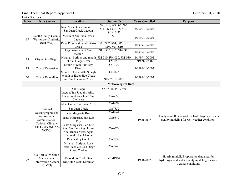| <b>Index</b> | <b>Data Source</b>                                                                                                  | <b>Location</b>                                                                                         | <b>Station ID</b>                                                 | <b>Years Compiled</b> | <b>Purpose</b>                                                                                                     |
|--------------|---------------------------------------------------------------------------------------------------------------------|---------------------------------------------------------------------------------------------------------|-------------------------------------------------------------------|-----------------------|--------------------------------------------------------------------------------------------------------------------|
| 17           | South Orange County<br><b>Wastewater Authority</b><br>(SOCWA)                                                       | San Clemente and mouth of<br>San Juan Creek Lagoon                                                      | S-0, S-1, S-3, S-5, S-7,<br>S-11, S-13, S-15, S-17,<br>S-19, S-23 | 3/2000-10/2002        |                                                                                                                    |
|              |                                                                                                                     | Mouth of San Juan Creek<br>Lagoon                                                                       | $\overline{S-2}$                                                  | 1/1999-10/2002        |                                                                                                                    |
|              |                                                                                                                     | Dana Point and mouth Aliso<br>Creek                                                                     | S01, S02, S04, S06, S07,<br>S08, S09, S10                         | 1/1999-10/2002        |                                                                                                                    |
|              |                                                                                                                     | Laguna/mouth of San<br>Joaquin                                                                          | S11, S13, S15, S14, S16                                           | 1/1999-10/2002        |                                                                                                                    |
|              |                                                                                                                     | Miramar, Scripps and mouth FM-010, FM-030, FM-080                                                       |                                                                   | 1/1999-10/2002        |                                                                                                                    |
| 18           | City of San Diego <sup>1</sup>                                                                                      | of San Diego River                                                                                      | <b>FM-050</b>                                                     | 1/1999-9/2002         |                                                                                                                    |
| 19           | City of Oceanside                                                                                                   | Mouth of San Luis Rey<br>River                                                                          | $OC-100$                                                          | 1/1999-10/2002        |                                                                                                                    |
|              |                                                                                                                     | Mouth of Loma Alta Slough                                                                               | OC-022                                                            |                       |                                                                                                                    |
| 20           | City of Escondido                                                                                                   | Mouth of Escondido Creek<br>and San Dieguito Creek                                                      | SE-020, SE-010                                                    | 1/1999-10/2002        |                                                                                                                    |
|              |                                                                                                                     |                                                                                                         | <b>Meteorological Data</b>                                        |                       |                                                                                                                    |
|              |                                                                                                                     | San Diego                                                                                               | COOP ID #047740                                                   |                       |                                                                                                                    |
|              | National<br>Oceanographic and<br>Atmospheric<br>Administration-<br>National Climatic<br>Data Center (NOAA-<br>NCDC) | Laguna/San Joaquin, Aliso,<br>Dana Point, San Juan, San<br>Clemente                                     | CA4650                                                            |                       |                                                                                                                    |
|              |                                                                                                                     | Aliso Creek, San Juan Creek                                                                             | CA8992                                                            |                       |                                                                                                                    |
|              |                                                                                                                     | San Juan Creek                                                                                          | CA7837                                                            |                       |                                                                                                                    |
|              |                                                                                                                     | Santa Margarita River                                                                                   | CA8844                                                            |                       |                                                                                                                    |
| 21           |                                                                                                                     | Santa Margarita, San Luis<br>Rey                                                                        | CA6319                                                            | 1990-2002             | Hourly rainfall data used for hydrologic and water<br>quality modeling for wet-weather conditions                  |
|              |                                                                                                                     | Santa Margarita, San Luis<br>Rey, San Luis Rey, Loma<br>Alta, Buena Vista, Agua<br>Hedionda, San Marcos | CA6379                                                            |                       |                                                                                                                    |
|              |                                                                                                                     | Pine Valley Creek                                                                                       | CA2239                                                            |                       |                                                                                                                    |
|              |                                                                                                                     | Miramar, Scripps, Rose<br>Creek, Tecolate, San Diego<br>River, Chollas                                  | CA7740                                                            |                       |                                                                                                                    |
| 22           | California Irrigation<br>Management<br><b>Information System</b><br>(CIMIS)                                         | Escondido Creek, San<br>Dieguito Creek, Miramar                                                         | CIMIS74                                                           | 1990-2002             | Hourly rainfall, Evaporation data used for<br>hydrologic and water quality modeling for wet-<br>weather conditions |